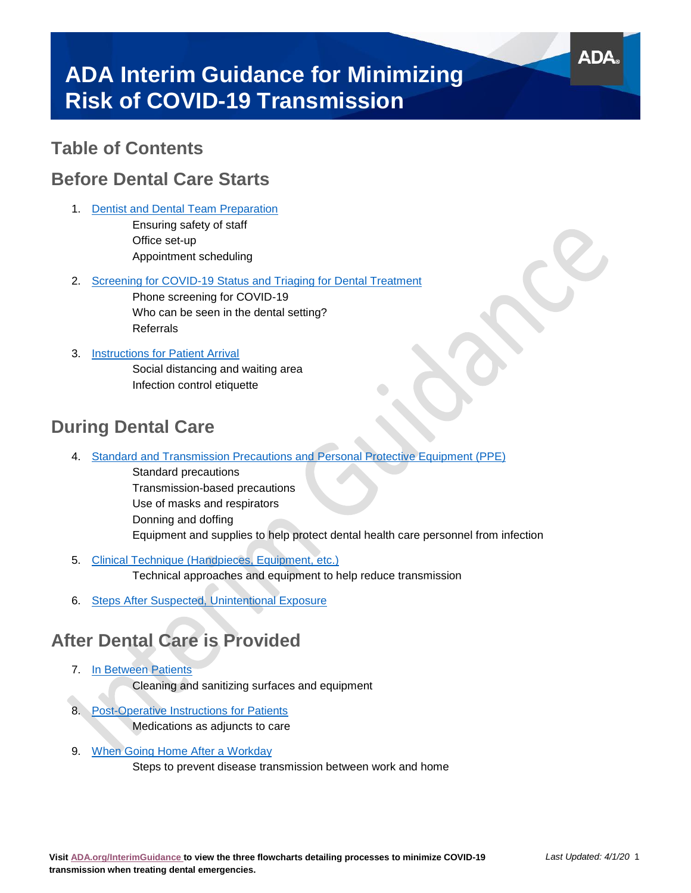### **Table of Contents**

### **Before Dental Care Starts**

- 1. [Dentist and Dental Team Preparation](#page-1-0) Ensuring safety of staff
	- Office set-up Appointment scheduling
- 2. Screening for COVID-19 [Status and Triaging for Dental Treatment](#page-2-0)

Phone screening for COVID-19 Who can be seen in the dental setting? Referrals

#### 3. [Instructions for Patient Arrival](#page-3-0)

Social distancing and waiting area Infection control etiquette

### **During Dental Care**

4. [Standard and Transmission Precautions and Personal Protective Equipment \(PPE\)](#page-4-0)

Standard precautions Transmission-based precautions Use of masks and respirators Donning and doffing Equipment and supplies to help protect dental health care personnel from infection

5. [Clinical Technique \(Handpieces, Equipment, etc.\)](#page-4-1)

Technical approaches and equipment to help reduce transmission

6. [Steps After Suspected, Unintentional Exposure](#page-5-0)

## **After Dental Care is Provided**

- 7. [In Between Patients](#page-6-0) Cleaning and sanitizing surfaces and equipment
- 8. [Post-Operative Instructions](#page-6-1) for Patients Medications as adjuncts to care
- 9. [When Going Home After a](#page-7-0) Workday Steps to prevent disease transmission between work and home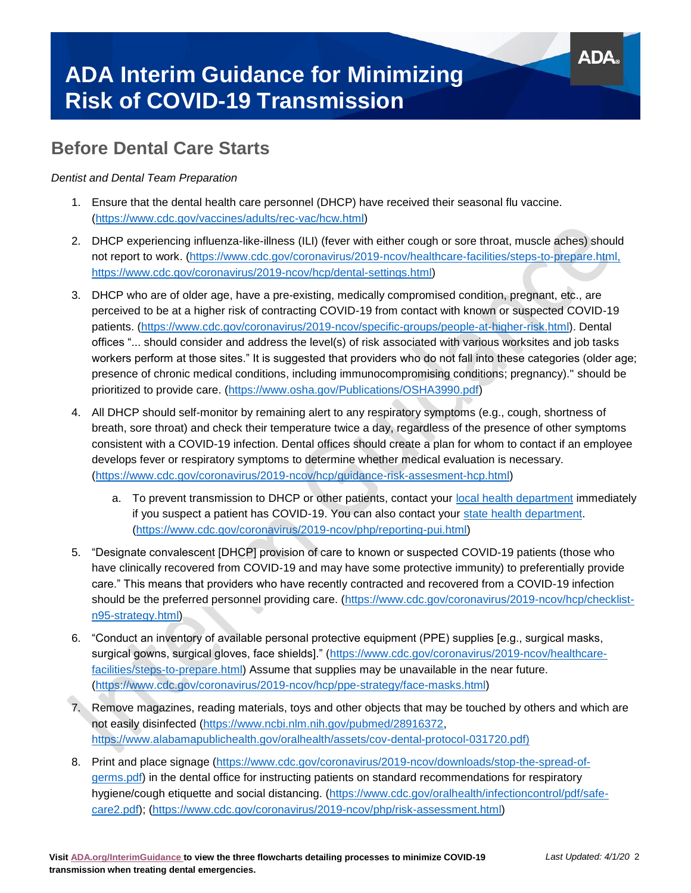### **Before Dental Care Starts**

#### <span id="page-1-0"></span>*Dentist and Dental Team Preparation*

- 1. Ensure that the dental health care personnel (DHCP) have received their seasonal flu vaccine. [\(https://www.cdc.gov/vaccines/adults/rec-vac/hcw.html\)](https://www.cdc.gov/vaccines/adults/rec-vac/hcw.html)
- 2. DHCP experiencing influenza-like-illness (ILI) (fever with either cough or sore throat, muscle aches) should not report to work. [\(https://www.cdc.gov/coronavirus/2019-ncov/healthcare-facilities/steps-to-prepare.html,](https://www.cdc.gov/coronavirus/2019-ncov/healthcare-facilities/steps-to-prepare.html) https://www.cdc.gov/coronavirus/2019-ncov/hcp/dental-settings.html)
- 3. DHCP who are of older age, have a pre-existing, medically compromised condition, pregnant, etc., are perceived to be at a higher risk of contracting COVID-19 from contact with known or suspected COVID-19 patients. [\(https://www.cdc.gov/coronavirus/2019-ncov/specific-groups/people-at-higher-risk.html\)](https://www.cdc.gov/coronavirus/2019-ncov/specific-groups/people-at-higher-risk.html). Dental offices "... should consider and address the level(s) of risk associated with various worksites and job tasks workers perform at those sites." It is suggested that providers who do not fall into these categories (older age; presence of chronic medical conditions, including immunocompromising conditions; pregnancy)." should be prioritized to provide care. [\(https://www.osha.gov/Publications/OSHA3990.pdf\)](https://www.osha.gov/Publications/OSHA3990.pdf)
- 4. All DHCP should self-monitor by remaining alert to any respiratory symptoms (e.g., cough, shortness of breath, sore throat) and check their temperature twice a day, regardless of the presence of other symptoms consistent with a COVID-19 infection. Dental offices should create a plan for whom to contact if an employee develops fever or respiratory symptoms to determine whether medical evaluation is necessary. [\(https://www.cdc.gov/coronavirus/2019-ncov/hcp/guidance-risk-assesment-hcp.html\)](https://www.cdc.gov/coronavirus/2019-ncov/hcp/guidance-risk-assesment-hcp.html)
	- a. To prevent transmission to DHCP or other patients, contact your [local health department](https://www.naccho.org/membership/lhd-directory) immediately if you suspect a patient has COVID-19. You can also contact your [state health department.](https://www.cste.org/page/EpiOnCall) [\(https://www.cdc.gov/coronavirus/2019-ncov/php/reporting-pui.html\)](https://www.cdc.gov/coronavirus/2019-ncov/php/reporting-pui.html)
- 5. "Designate convalescent [DHCP] provision of care to known or suspected COVID-19 patients (those who have clinically recovered from COVID-19 and may have some protective immunity) to preferentially provide care." This means that providers who have recently contracted and recovered from a COVID-19 infection should be the preferred personnel providing care. [\(https://www.cdc.gov/coronavirus/2019-ncov/hcp/checklist](https://www.cdc.gov/coronavirus/2019-ncov/hcp/checklist-n95-strategy.html)[n95-strategy.html\)](https://www.cdc.gov/coronavirus/2019-ncov/hcp/checklist-n95-strategy.html)
- 6. "Conduct an inventory of available personal protective equipment (PPE) supplies [e.g., surgical masks, surgical gowns, surgical gloves, face shields]." [\(https://www.cdc.gov/coronavirus/2019-ncov/healthcare](https://www.cdc.gov/coronavirus/2019-ncov/healthcare-facilities/steps-to-prepare.html)[facilities/steps-to-prepare.html\)](https://www.cdc.gov/coronavirus/2019-ncov/healthcare-facilities/steps-to-prepare.html) Assume that supplies may be unavailable in the near future. [\(https://www.cdc.gov/coronavirus/2019-ncov/hcp/ppe-strategy/face-masks.html\)](https://www.cdc.gov/coronavirus/2019-ncov/hcp/ppe-strategy/face-masks.html)
- 7. Remove magazines, reading materials, toys and other objects that may be touched by others and which are not easily disinfected [\(https://www.ncbi.nlm.nih.gov/pubmed/28916372,](https://www.ncbi.nlm.nih.gov/pubmed/28916372) [https://www.alabamapublichealth.gov/oralhealth/assets/cov-dental-protocol-031720.pdf\)](https://www.alabamapublichealth.gov/oralhealth/assets/cov-dental-protocol-031720.pdf))
- 8. Print and place signage [\(https://www.cdc.gov/coronavirus/2019-ncov/downloads/stop-the-spread-of](https://www.cdc.gov/coronavirus/2019-ncov/downloads/stop-the-spread-of-germs.pdf)[germs.pdf\)](https://www.cdc.gov/coronavirus/2019-ncov/downloads/stop-the-spread-of-germs.pdf) in the dental office for instructing patients on standard recommendations for respiratory hygiene/cough etiquette and social distancing. [\(https://www.cdc.gov/oralhealth/infectioncontrol/pdf/safe](https://www.cdc.gov/oralhealth/infectioncontrol/pdf/safe-care2.pdf)[care2.pdf\)](https://www.cdc.gov/oralhealth/infectioncontrol/pdf/safe-care2.pdf); [\(https://www.cdc.gov/coronavirus/2019-ncov/php/risk-assessment.html\)](https://www.cdc.gov/coronavirus/2019-ncov/php/risk-assessment.html)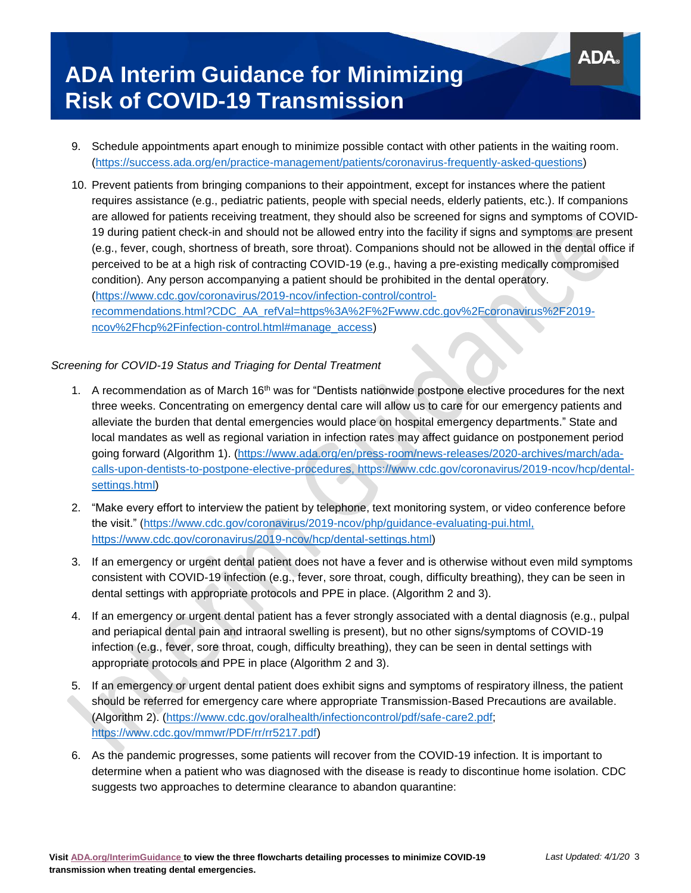- 9. Schedule appointments apart enough to minimize possible contact with other patients in the waiting room. [\(https://success.ada.org/en/practice-management/patients/coronavirus-frequently-asked-questions\)](https://success.ada.org/en/practice-management/patients/coronavirus-frequently-asked-questions)
- 10. Prevent patients from bringing companions to their appointment, except for instances where the patient requires assistance (e.g., pediatric patients, people with special needs, elderly patients, etc.). If companions are allowed for patients receiving treatment, they should also be screened for signs and symptoms of COVID-19 during patient check-in and should not be allowed entry into the facility if signs and symptoms are present (e.g., fever, cough, shortness of breath, sore throat). Companions should not be allowed in the dental office if perceived to be at a high risk of contracting COVID-19 (e.g., having a pre-existing medically compromised condition). Any person accompanying a patient should be prohibited in the dental operatory. [\(https://www.cdc.gov/coronavirus/2019-ncov/infection-control/control](https://www.cdc.gov/coronavirus/2019-ncov/infection-control/control-recommendations.html?CDC_AA_refVal=https%3A%2F%2Fwww.cdc.gov%2Fcoronavirus%2F2019-ncov%2Fhcp%2Finfection-control.html#manage_access)[recommendations.html?CDC\\_AA\\_refVal=https%3A%2F%2Fwww.cdc.gov%2Fcoronavirus%2F2019](https://www.cdc.gov/coronavirus/2019-ncov/infection-control/control-recommendations.html?CDC_AA_refVal=https%3A%2F%2Fwww.cdc.gov%2Fcoronavirus%2F2019-ncov%2Fhcp%2Finfection-control.html#manage_access) [ncov%2Fhcp%2Finfection-control.html#manage\\_access\)](https://www.cdc.gov/coronavirus/2019-ncov/infection-control/control-recommendations.html?CDC_AA_refVal=https%3A%2F%2Fwww.cdc.gov%2Fcoronavirus%2F2019-ncov%2Fhcp%2Finfection-control.html#manage_access)

#### <span id="page-2-0"></span>*Screening for COVID-19 Status and Triaging for Dental Treatment*

- 1. A recommendation as of March 16<sup>th</sup> was for "Dentists nationwide postpone elective procedures for the next three weeks. Concentrating on emergency dental care will allow us to care for our emergency patients and alleviate the burden that dental emergencies would place on hospital emergency departments." State and local mandates as well as regional variation in infection rates may affect guidance on postponement period going forward (Algorithm 1). [\(https://www.ada.org/en/press-room/news-releases/2020-archives/march/ada](https://www.ada.org/en/press-room/news-releases/2020-archives/march/ada-calls-upon-dentists-to-postpone-elective-procedures)[calls-upon-dentists-to-postpone-elective-procedures,](https://www.ada.org/en/press-room/news-releases/2020-archives/march/ada-calls-upon-dentists-to-postpone-elective-procedures) https://www.cdc.gov/coronavirus/2019-ncov/hcp/dentalsettings.html)
- 2. "Make every effort to interview the patient by telephone, text monitoring system, or video conference before the visit." [\(https://www.cdc.gov/coronavirus/2019-ncov/php/guidance-evaluating-pui.html,](https://www.cdc.gov/coronavirus/2019-ncov/php/guidance-evaluating-pui.html) https://www.cdc.gov/coronavirus/2019-ncov/hcp/dental-settings.html)
- 3. If an emergency or urgent dental patient does not have a fever and is otherwise without even mild symptoms consistent with COVID-19 infection (e.g., fever, sore throat, cough, difficulty breathing), they can be seen in dental settings with appropriate protocols and PPE in place. (Algorithm 2 and 3).
- 4. If an emergency or urgent dental patient has a fever strongly associated with a dental diagnosis (e.g., pulpal and periapical dental pain and intraoral swelling is present), but no other signs/symptoms of COVID-19 infection (e.g., fever, sore throat, cough, difficulty breathing), they can be seen in dental settings with appropriate protocols and PPE in place (Algorithm 2 and 3).
- 5. If an emergency or urgent dental patient does exhibit signs and symptoms of respiratory illness, the patient should be referred for emergency care where appropriate Transmission-Based Precautions are available. (Algorithm 2). [\(https://www.cdc.gov/oralhealth/infectioncontrol/pdf/safe-care2.pdf;](https://www.cdc.gov/oralhealth/infectioncontrol/pdf/safe-care2.pdf) [https://www.cdc.gov/mmwr/PDF/rr/rr5217.pdf\)](https://www.cdc.gov/mmwr/PDF/rr/rr5217.pdf)
- 6. As the pandemic progresses, some patients will recover from the COVID-19 infection. It is important to determine when a patient who was diagnosed with the disease is ready to discontinue home isolation. CDC suggests two approaches to determine clearance to abandon quarantine: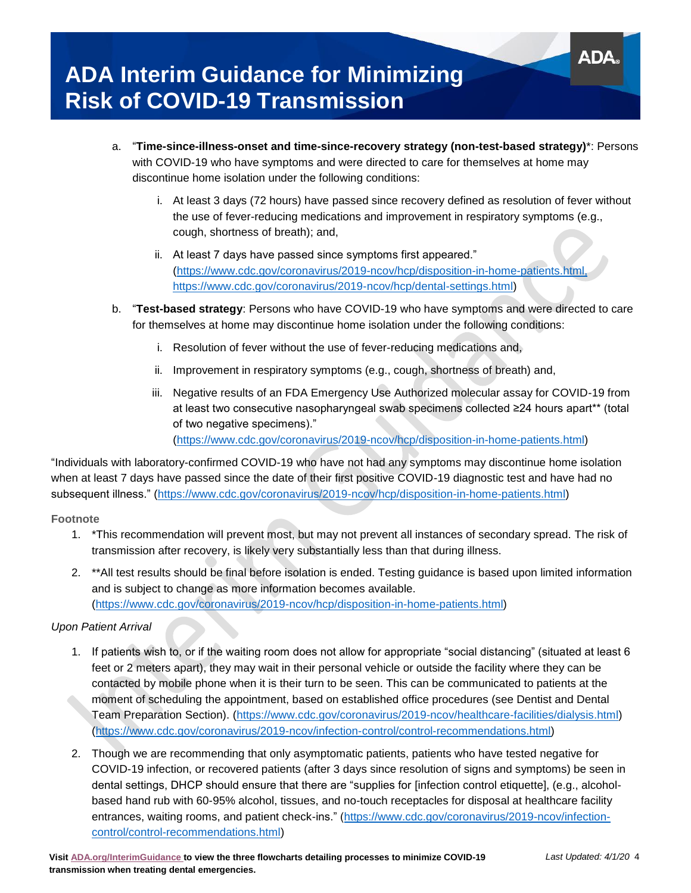- a. "**Time-since-illness-onset and time-since-recovery strategy (non-test-based strategy)**\*: Persons with COVID-19 who have symptoms and were directed to care for themselves at home may discontinue home isolation under the following conditions:
	- i. At least 3 days (72 hours) have passed since recovery defined as resolution of fever without the use of fever-reducing medications and improvement in respiratory symptoms (e.g., cough, shortness of breath); and,
	- ii. At least 7 days have passed since symptoms first appeared." [\(https://www.cdc.gov/coronavirus/2019-ncov/hcp/disposition-in-home-patients.html,](https://www.cdc.gov/coronavirus/2019-ncov/hcp/disposition-in-home-patients.html) https://www.cdc.gov/coronavirus/2019-ncov/hcp/dental-settings.html)
- b. "**Test-based strategy**: Persons who have COVID-19 who have symptoms and were directed to care for themselves at home may discontinue home isolation under the following conditions:
	- i. Resolution of fever without the use of fever-reducing medications and,
	- ii. Improvement in respiratory symptoms (e.g., cough, shortness of breath) and,
	- iii. Negative results of an FDA Emergency Use Authorized molecular assay for COVID-19 from at least two consecutive nasopharyngeal swab specimens collected ≥24 hours apart\*\* (total of two negative specimens)."

[\(https://www.cdc.gov/coronavirus/2019-ncov/hcp/disposition-in-home-patients.html\)](https://www.cdc.gov/coronavirus/2019-ncov/hcp/disposition-in-home-patients.html)

"Individuals with laboratory-confirmed COVID-19 who have not had any symptoms may discontinue home isolation when at least 7 days have passed since the date of their first positive COVID-19 diagnostic test and have had no subsequent illness." [\(https://www.cdc.gov/coronavirus/2019-ncov/hcp/disposition-in-home-patients.html\)](https://www.cdc.gov/coronavirus/2019-ncov/hcp/disposition-in-home-patients.html)

#### **Footnote**

- 1. \*This recommendation will prevent most, but may not prevent all instances of secondary spread. The risk of transmission after recovery, is likely very substantially less than that during illness.
- 2. \*\*All test results should be final before isolation is ended. Testing guidance is based upon limited information and is subject to change as more information becomes available. [\(https://www.cdc.gov/coronavirus/2019-ncov/hcp/disposition-in-home-patients.html\)](https://www.cdc.gov/coronavirus/2019-ncov/hcp/disposition-in-home-patients.html)

#### <span id="page-3-0"></span>*Upon Patient Arrival*

- 1. If patients wish to, or if the waiting room does not allow for appropriate "social distancing" (situated at least 6 feet or 2 meters apart), they may wait in their personal vehicle or outside the facility where they can be contacted by mobile phone when it is their turn to be seen. This can be communicated to patients at the moment of scheduling the appointment, based on established office procedures (see Dentist and Dental Team Preparation Section). [\(https://www.cdc.gov/coronavirus/2019-ncov/healthcare-facilities/dialysis.html\)](https://www.cdc.gov/coronavirus/2019-ncov/healthcare-facilities/dialysis.html) [\(https://www.cdc.gov/coronavirus/2019-ncov/infection-control/control-recommendations.html\)](https://www.cdc.gov/coronavirus/2019-ncov/infection-control/control-recommendations.html#adhere)
- 2. Though we are recommending that only asymptomatic patients, patients who have tested negative for COVID-19 infection, or recovered patients (after 3 days since resolution of signs and symptoms) be seen in dental settings, DHCP should ensure that there are "supplies for [infection control etiquette], (e.g., alcoholbased hand rub with 60-95% alcohol, tissues, and no-touch receptacles for disposal at healthcare facility entrances, waiting rooms, and patient check-ins." [\(https://www.cdc.gov/coronavirus/2019-ncov/infection](https://www.cdc.gov/coronavirus/2019-ncov/infection-control/control-recommendations.html#adhere)[control/control-recommendations.html\)](https://www.cdc.gov/coronavirus/2019-ncov/infection-control/control-recommendations.html#adhere)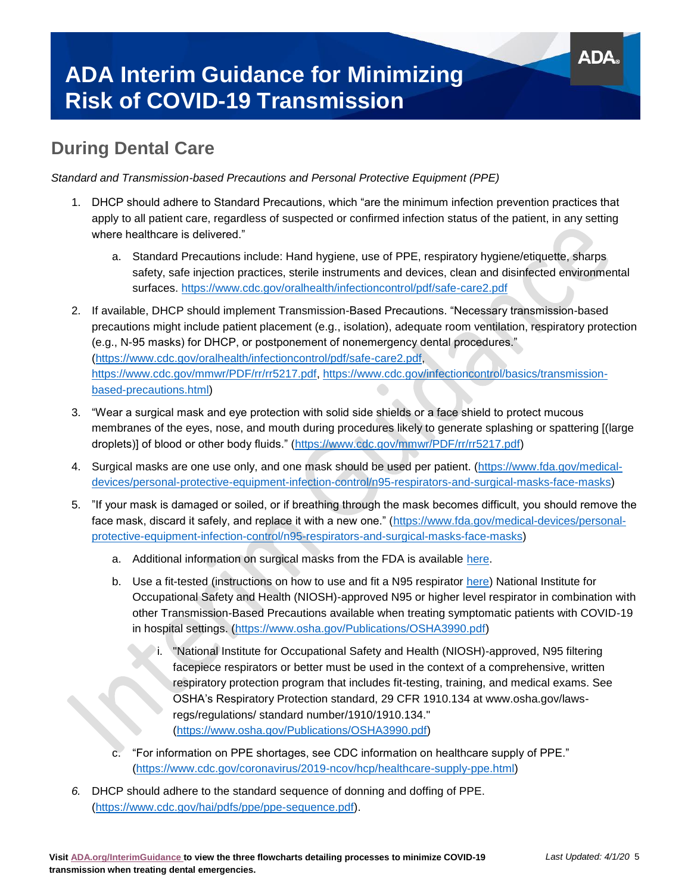## **During Dental Care**

<span id="page-4-0"></span>*Standard and Transmission-based Precautions and Personal Protective Equipment (PPE)*

- 1. DHCP should adhere to Standard Precautions, which "are the minimum infection prevention practices that apply to all patient care, regardless of suspected or confirmed infection status of the patient, in any setting where healthcare is delivered."
	- a. Standard Precautions include: Hand hygiene, use of PPE, respiratory hygiene/etiquette, sharps safety, safe injection practices, sterile instruments and devices, clean and disinfected environmental surfaces. <https://www.cdc.gov/oralhealth/infectioncontrol/pdf/safe-care2.pdf>
- 2. If available, DHCP should implement Transmission-Based Precautions. "Necessary transmission-based precautions might include patient placement (e.g., isolation), adequate room ventilation, respiratory protection (e.g., N-95 masks) for DHCP, or postponement of nonemergency dental procedures." [\(https://www.cdc.gov/oralhealth/infectioncontrol/pdf/safe-care2.pdf,](https://www.cdc.gov/oralhealth/infectioncontrol/pdf/safe-care2.pdf) [https://www.cdc.gov/mmwr/PDF/rr/rr5217.pdf,](https://www.cdc.gov/mmwr/PDF/rr/rr5217.pdf) [https://www.cdc.gov/infectioncontrol/basics/transmission](https://www.cdc.gov/infectioncontrol/basics/transmission-based-precautions.html)[based-precautions.html\)](https://www.cdc.gov/infectioncontrol/basics/transmission-based-precautions.html)
- 3. "Wear a surgical mask and eye protection with solid side shields or a face shield to protect mucous membranes of the eyes, nose, and mouth during procedures likely to generate splashing or spattering [(large droplets)] of blood or other body fluids." [\(https://www.cdc.gov/mmwr/PDF/rr/rr5217.pdf\)](https://www.cdc.gov/mmwr/PDF/rr/rr5217.pdf)
- 4. Surgical masks are one use only, and one mask should be used per patient. [\(https://www.fda.gov/medical](https://www.fda.gov/medical-devices/personal-protective-equipment-infection-control/n95-respirators-and-surgical-masks-face-masks)[devices/personal-protective-equipment-infection-control/n95-respirators-and-surgical-masks-face-masks\)](https://www.fda.gov/medical-devices/personal-protective-equipment-infection-control/n95-respirators-and-surgical-masks-face-masks)
- 5. "If your mask is damaged or soiled, or if breathing through the mask becomes difficult, you should remove the face mask, discard it safely, and replace it with a new one." [\(https://www.fda.gov/medical-devices/personal](https://www.fda.gov/medical-devices/personal-protective-equipment-infection-control/n95-respirators-and-surgical-masks-face-masks)[protective-equipment-infection-control/n95-respirators-and-surgical-masks-face-masks\)](https://www.fda.gov/medical-devices/personal-protective-equipment-infection-control/n95-respirators-and-surgical-masks-face-masks)
	- a. Additional information on surgical masks from the FDA is available [here.](https://www.fda.gov/medical-devices/personal-protective-equipment-infection-control/n95-respirators-and-surgical-masks-face-masks)
	- b. Use a fit-tested (instructions on how to use and fit a N95 respirator [here\)](https://www.cdc.gov/niosh/docs/2018-130/pdfs/2018-130.pdf?id=10.26616/NIOSHPUB2018130) National Institute for Occupational Safety and Health (NIOSH)-approved N95 or higher level respirator in combination with other Transmission-Based Precautions available when treating symptomatic patients with COVID-19 in hospital settings. [\(https://www.osha.gov/Publications/OSHA3990.pdf\)](https://www.osha.gov/Publications/OSHA3990.pdf)
		- i. "National Institute for Occupational Safety and Health (NIOSH)-approved, N95 filtering facepiece respirators or better must be used in the context of a comprehensive, written respiratory protection program that includes fit-testing, training, and medical exams. See OSHA's Respiratory Protection standard, 29 CFR 1910.134 at www.osha.gov/lawsregs/regulations/ standard number/1910/1910.134." [\(https://www.osha.gov/Publications/OSHA3990.pdf\)](https://www.osha.gov/Publications/OSHA3990.pdf)
	- "For information on PPE shortages, see CDC information on healthcare supply of PPE." [\(https://www.cdc.gov/coronavirus/2019-ncov/hcp/healthcare-supply-ppe.html\)](https://www.cdc.gov/coronavirus/2019-ncov/hcp/healthcare-supply-ppe.html)
- <span id="page-4-1"></span>*6.* DHCP should adhere to the standard sequence of donning and doffing of PPE. [\(https://www.cdc.gov/hai/pdfs/ppe/ppe-sequence.pdf\)](https://www.cdc.gov/hai/pdfs/ppe/ppe-sequence.pdf).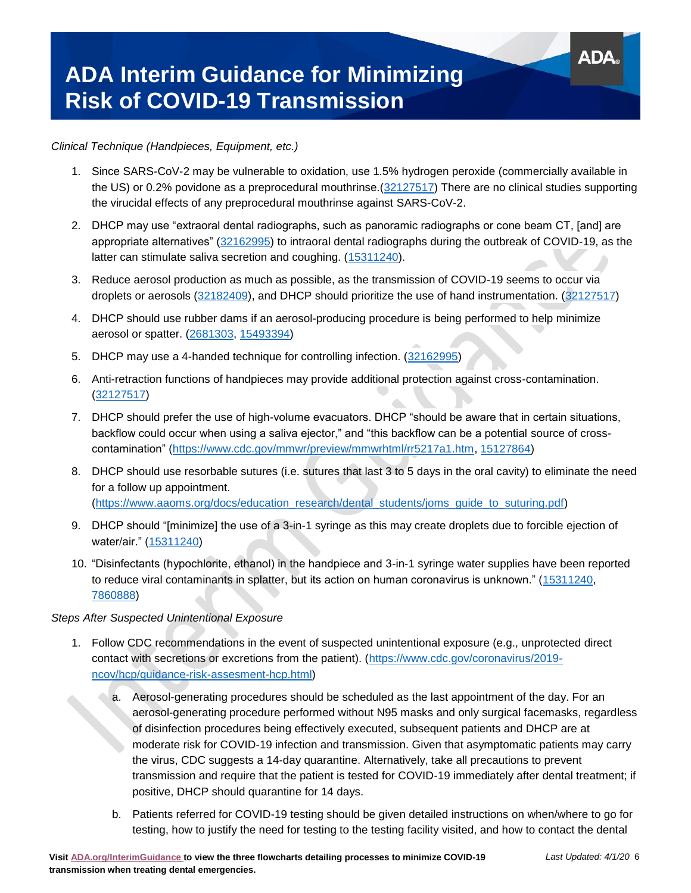#### *Clinical Technique (Handpieces, Equipment, etc.)*

- 1. Since SARS-CoV-2 may be vulnerable to oxidation, use 1.5% hydrogen peroxide (commercially available in the US) or 0.2% povidone as a preprocedural mouthrinse.[\(32127517\)](https://www.ncbi.nlm.nih.gov/pubmed/?term=32127517) There are no clinical studies supporting the virucidal effects of any preprocedural mouthrinse against SARS-CoV-2.
- 2. DHCP may use "extraoral dental radiographs, such as panoramic radiographs or cone beam CT, [and] are appropriate alternatives" [\(32162995\)](https://www.ncbi.nlm.nih.gov/pubmed/?term=32162995) to intraoral dental radiographs during the outbreak of COVID-19, as the latter can stimulate saliva secretion and coughing. [\(15311240\)](https://www.ncbi.nlm.nih.gov/pubmed/?term=15311240).
- 3. Reduce aerosol production as much as possible, as the transmission of COVID-19 seems to occur via droplets or aerosols [\(32182409\)](https://www.ncbi.nlm.nih.gov/pubmed/?term=Aerosol+and+Surface+Stability+of+SARS-CoV-2+as+Compared+with+SARS-CoV-1), and DHCP should prioritize the use of hand instrumentation. [\(32127517\)](https://www.ncbi.nlm.nih.gov/pubmed/?term=Transmission+routes+of+2019-nCoV+and+controls+in+dental+practice)
- 4. DHCP should use rubber dams if an aerosol-producing procedure is being performed to help minimize aerosol or spatter. [\(2681303,](https://www.ncbi.nlm.nih.gov/pubmed/?term=2681303) [15493394\)](https://www.ncbi.nlm.nih.gov/pubmed/?term=15493394)
- 5. DHCP may use a 4-handed technique for controlling infection. [\(32162995\)](https://www.ncbi.nlm.nih.gov/pubmed/?term=32162995)
- 6. Anti-retraction functions of handpieces may provide additional protection against cross-contamination. [\(32127517\)](https://www.ncbi.nlm.nih.gov/pubmed/?term=32127517)
- 7. DHCP should prefer the use of high-volume evacuators. DHCP "should be aware that in certain situations, backflow could occur when using a saliva ejector," and "this backflow can be a potential source of crosscontamination" [\(https://www.cdc.gov/mmwr/preview/mmwrhtml/rr5217a1.htm,](https://www.cdc.gov/mmwr/preview/mmwrhtml/rr5217a1.htm) [15127864\)](https://www.ncbi.nlm.nih.gov/pubmed/?term=Aerosols+and+splatter+in+dentistry+A+brief+review+of+the+literature+and+infection+control+implications)
- 8. DHCP should use resorbable sutures (i.e. sutures that last 3 to 5 days in the oral cavity) to eliminate the need for a follow up appointment. [\(https://www.aaoms.org/docs/education\\_research/dental\\_students/joms\\_guide\\_to\\_suturing.pdf\)](https://www.aaoms.org/docs/education_research/dental_students/joms_guide_to_suturing.pdf)
- 9. DHCP should "[minimize] the use of a 3-in-1 syringe as this may create droplets due to forcible ejection of water/air." [\(15311240\)](https://www.ncbi.nlm.nih.gov/pubmed/15311240)
- 10. "Disinfectants (hypochlorite, ethanol) in the handpiece and 3-in-1 syringe water supplies have been reported to reduce viral contaminants in splatter, but its action on human coronavirus is unknown." [\(15311240,](https://www.ncbi.nlm.nih.gov/pubmed/15311240) [7860888\)](https://www.ncbi.nlm.nih.gov/pubmed/7860888)

<span id="page-5-0"></span>*Steps After Suspected Unintentional Exposure*

- 1. Follow CDC recommendations in the event of suspected unintentional exposure (e.g., unprotected direct contact with secretions or excretions from the patient). [\(https://www.cdc.gov/coronavirus/2019](https://www.cdc.gov/coronavirus/2019-ncov/hcp/guidance-risk-assesment-hcp.html) [ncov/hcp/guidance-risk-assesment-hcp.html\)](https://www.cdc.gov/coronavirus/2019-ncov/hcp/guidance-risk-assesment-hcp.html)
	- a. Aerosol-generating procedures should be scheduled as the last appointment of the day. For an aerosol-generating procedure performed without N95 masks and only surgical facemasks, regardless of disinfection procedures being effectively executed, subsequent patients and DHCP are at moderate risk for COVID-19 infection and transmission. Given that asymptomatic patients may carry the virus, CDC suggests a 14-day quarantine. Alternatively, take all precautions to prevent transmission and require that the patient is tested for COVID-19 immediately after dental treatment; if positive, DHCP should quarantine for 14 days.
	- b. Patients referred for COVID-19 testing should be given detailed instructions on when/where to go for testing, how to justify the need for testing to the testing facility visited, and how to contact the dental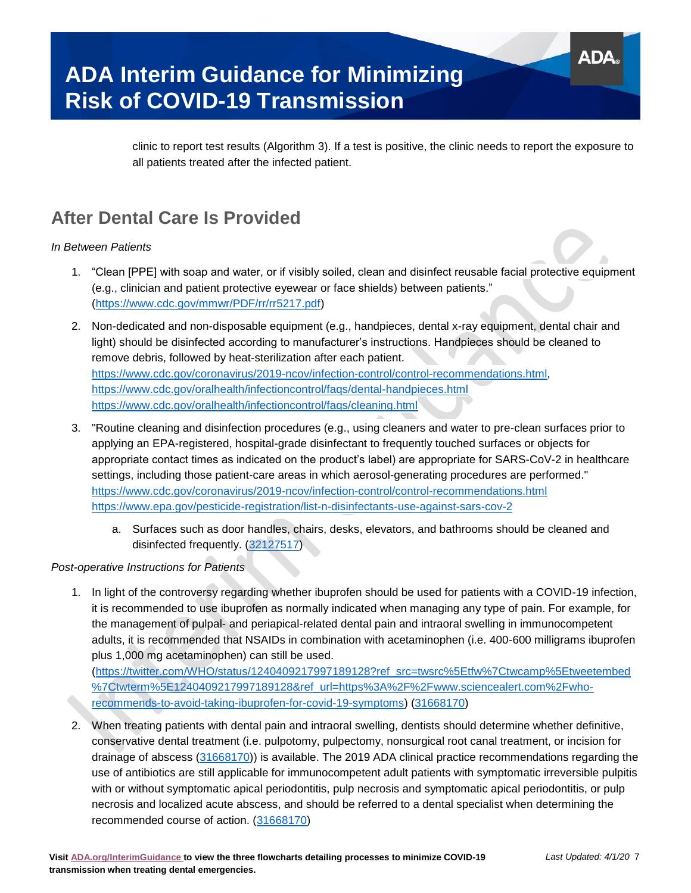clinic to report test results (Algorithm 3). If a test is positive, the clinic needs to report the exposure to all patients treated after the infected patient.

## **After Dental Care Is Provided**

#### <span id="page-6-0"></span>*In Between Patients*

- 1. "Clean [PPE] with soap and water, or if visibly soiled, clean and disinfect reusable facial protective equipment (e.g., clinician and patient protective eyewear or face shields) between patients." [\(https://www.cdc.gov/mmwr/PDF/rr/rr5217.pdf\)](https://www.cdc.gov/mmwr/PDF/rr/rr5217.pdf)
- 2. Non-dedicated and non-disposable equipment (e.g., handpieces, dental x-ray equipment, dental chair and light) should be disinfected according to manufacturer's instructions. Handpieces should be cleaned to remove debris, followed by heat-sterilization after each patient. [https://www.cdc.gov/coronavirus/2019-ncov/infection-control/control-recommendations.html,](file:///C:/Users/pfunde/AppData/Local/Microsoft/Windows/INetCache/Content.Outlook/O2E0HIEY/https) <https://www.cdc.gov/oralhealth/infectioncontrol/faqs/dental-handpieces.html> <https://www.cdc.gov/oralhealth/infectioncontrol/faqs/cleaning.html>
- 3. "Routine cleaning and disinfection procedures (e.g., using cleaners and water to pre-clean surfaces prior to applying an EPA-registered, hospital-grade disinfectant to frequently touched surfaces or objects for appropriate contact times as indicated on the product's label) are appropriate for SARS-CoV-2 in healthcare settings, including those patient-care areas in which aerosol-generating procedures are performed." <https://www.cdc.gov/coronavirus/2019-ncov/infection-control/control-recommendations.html> <https://www.epa.gov/pesticide-registration/list-n-disinfectants-use-against-sars-cov-2>
	- a. Surfaces such as door handles, chairs, desks, elevators, and bathrooms should be cleaned and disinfected frequently. [\(32127517\)](https://www.ncbi.nlm.nih.gov/pubmed/?term=32127517)

#### <span id="page-6-1"></span>*Post-operative Instructions for Patients*

1. In light of the controversy regarding whether ibuprofen should be used for patients with a COVID-19 infection, it is recommended to use ibuprofen as normally indicated when managing any type of pain. For example, for the management of pulpal- and periapical-related dental pain and intraoral swelling in immunocompetent adults, it is recommended that NSAIDs in combination with acetaminophen (i.e. 400-600 milligrams ibuprofen plus 1,000 mg acetaminophen) can still be used.

[\(https://twitter.com/WHO/status/1240409217997189128?ref\\_src=twsrc%5Etfw%7Ctwcamp%5Etweetembed](https://twitter.com/WHO/status/1240409217997189128?ref_src=twsrc%5Etfw%7Ctwcamp%5Etweetembed%7Ctwterm%5E1240409217997189128&ref_url=https%3A%2F%2Fwww.sciencealert.com%2Fwho-recommends-to-avoid-taking-ibuprofen-for-covid-19-symptoms) [%7Ctwterm%5E1240409217997189128&ref\\_url=https%3A%2F%2Fwww.sciencealert.com%2Fwho](https://twitter.com/WHO/status/1240409217997189128?ref_src=twsrc%5Etfw%7Ctwcamp%5Etweetembed%7Ctwterm%5E1240409217997189128&ref_url=https%3A%2F%2Fwww.sciencealert.com%2Fwho-recommends-to-avoid-taking-ibuprofen-for-covid-19-symptoms)[recommends-to-avoid-taking-ibuprofen-for-covid-19-symptoms\)](https://twitter.com/WHO/status/1240409217997189128?ref_src=twsrc%5Etfw%7Ctwcamp%5Etweetembed%7Ctwterm%5E1240409217997189128&ref_url=https%3A%2F%2Fwww.sciencealert.com%2Fwho-recommends-to-avoid-taking-ibuprofen-for-covid-19-symptoms) [\(31668170\)](https://jada.ada.org/article/S0002-8177(19)30617-8/fulltext)

2. When treating patients with dental pain and intraoral swelling, dentists should determine whether definitive, conservative dental treatment (i.e. pulpotomy, pulpectomy, nonsurgical root canal treatment, or incision for drainage of abscess [\(31668170\)](https://jada.ada.org/article/S0002-8177(19)30617-8/fulltext)) is available. The 2019 ADA clinical practice recommendations regarding the use of antibiotics are still applicable for immunocompetent adult patients with symptomatic irreversible pulpitis with or without symptomatic apical periodontitis, pulp necrosis and symptomatic apical periodontitis, or pulp necrosis and localized acute abscess, and should be referred to a dental specialist when determining the recommended course of action. [\(31668170\)](https://jada.ada.org/article/S0002-8177(19)30617-8/fulltext)